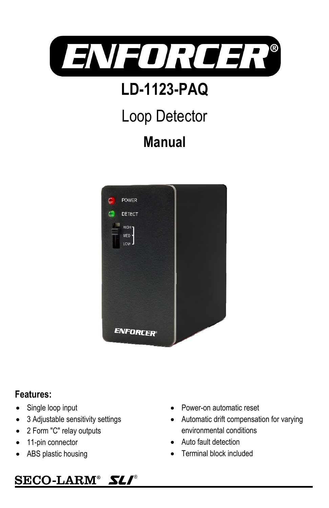

# **LD-1123-PAQ**

# Loop Detector

# **Manual**



#### **Features:**

- Single loop input
- 3 Adjustable sensitivity settings

SECO-LARM<sup>®</sup> SLI<sup>®</sup>

- 2 Form "C" relay outputs
- 11-pin connector
- ABS plastic housing
- Power-on automatic reset
- Automatic drift compensation for varying environmental conditions
- Auto fault detection
- Terminal block included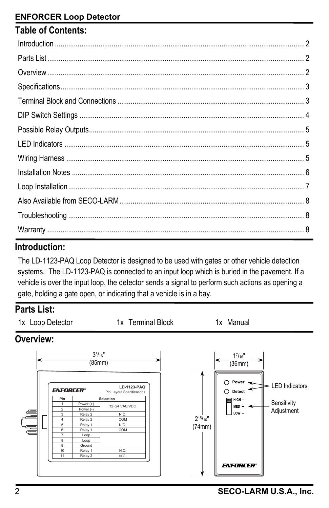# **Table of Contents:**

# **Introduction:**

The LD-1123-PAQ Loop Detector is designed to be used with gates or other vehicle detection systems. The LD-1123-PAQ is connected to an input loop which is buried in the pavement. If a vehicle is over the input loop, the detector sends a signal to perform such actions as opening a gate, holding a gate open, or indicating that a vehicle is in a bay.

# **Parts List:**

|           | 1x Loop Detector                                                  |                                                                      | 1x Terminal Block                                     |                            | 1x Manual                              |                            |
|-----------|-------------------------------------------------------------------|----------------------------------------------------------------------|-------------------------------------------------------|----------------------------|----------------------------------------|----------------------------|
| Overview: |                                                                   |                                                                      |                                                       |                            |                                        |                            |
|           |                                                                   | 35/16"<br>(85mm)                                                     |                                                       |                            | $1^{7}/_{16}$ "<br>(36mm)              |                            |
|           | <b>ENFORCER®</b><br>Pin                                           |                                                                      | LD-1123-PAQ<br>Pin Layout Specifications<br>Selection |                            | Power<br>∩<br>Detect<br>О<br>HGH-<br>E | <b>LED Indicators</b><br>⇻ |
|           | $\overline{1}$<br>$\overline{2}$<br>3<br>$\overline{4}$<br>5<br>6 | Power $(+)$<br>Power (-)<br>Relay 2<br>Relay 2<br>Relay 1<br>Relay 1 | 12~24 VAC/VDC<br>N.O.<br>COM<br>N.O.<br>COM           | $2^{15}/_{16}$ "<br>(74mm) | <b>MED</b><br>$LOW -$                  | Sensitivity<br>Adjustment  |
|           | $\overline{7}$<br>8<br>9<br>10<br>11                              | Loop<br>Loop<br>Ground<br>Relay 1<br>Relay 2                         | N.C.<br>N.C.                                          |                            |                                        |                            |
|           |                                                                   |                                                                      |                                                       |                            | <b>ENFORCER®</b>                       |                            |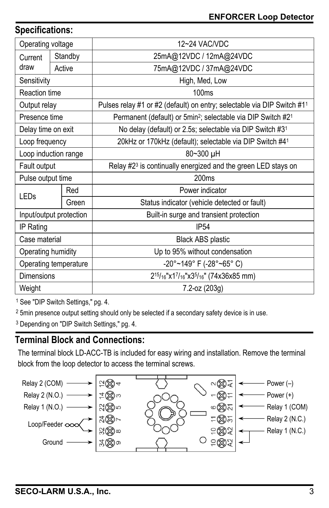| <u>,,,,,,,,,,,,,</u>    |         |                                                                                                                   |  |  |
|-------------------------|---------|-------------------------------------------------------------------------------------------------------------------|--|--|
| Operating voltage       |         | 12~24 VAC/VDC                                                                                                     |  |  |
| Current                 | Standby | 25mA@12VDC / 12mA@24VDC                                                                                           |  |  |
| draw                    | Active  | 75mA@12VDC / 37mA@24VDC                                                                                           |  |  |
| Sensitivity             |         | High, Med, Low                                                                                                    |  |  |
| Reaction time           |         | 100 <sub>ms</sub>                                                                                                 |  |  |
| Output relay            |         | Pulses relay #1 or #2 (default) on entry; selectable via DIP Switch #11                                           |  |  |
| Presence time           |         | Permanent (default) or 5min <sup>2</sup> ; selectable via DIP Switch #2 <sup>1</sup>                              |  |  |
| Delay time on exit      |         | No delay (default) or 2.5s; selectable via DIP Switch #31                                                         |  |  |
| Loop frequency          |         | 20kHz or 170kHz (default); selectable via DIP Switch #41                                                          |  |  |
| Loop induction range    |         | 80~300 µH                                                                                                         |  |  |
| Fault output            |         | Relay #23 is continually energized and the green LED stays on                                                     |  |  |
| Pulse output time       |         | 200ms                                                                                                             |  |  |
|                         | Red     | Power indicator                                                                                                   |  |  |
| LEDs                    | Green   | Status indicator (vehicle detected or fault)                                                                      |  |  |
| Input/output protection |         | Built-in surge and transient protection                                                                           |  |  |
| IP Rating               |         | <b>IP54</b>                                                                                                       |  |  |
| Case material           |         | <b>Black ABS plastic</b>                                                                                          |  |  |
| Operating humidity      |         | Up to 95% without condensation                                                                                    |  |  |
| Operating temperature   |         | -20°~149° F (-28°~65° C)                                                                                          |  |  |
| <b>Dimensions</b>       |         | 2 <sup>15</sup> / <sub>16</sub> "x1 <sup>7</sup> / <sub>16</sub> "x3 <sup>5</sup> / <sub>16</sub> " (74x36x85 mm) |  |  |
| Weight                  |         | 7.2-oz (203g)                                                                                                     |  |  |

<sup>1</sup> See "DIP Switch Settings," pg. 4.

**Specifications:** 

<sup>2</sup> 5min presence output setting should only be selected if a secondary safety device is in use.

<sup>3</sup> Depending on "DIP Switch Settings," pg. 4.

#### **Terminal Block and Connections:**

The terminal block LD-ACC-TB is included for easy wiring and installation. Remove the terminal block from the loop detector to access the terminal screws.

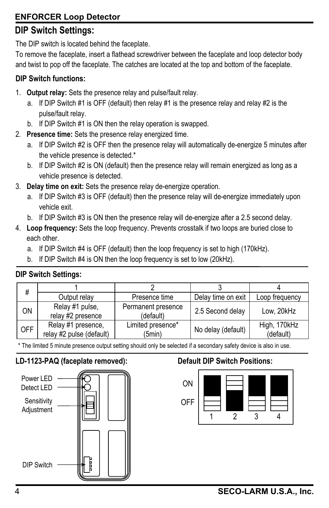# **DIP Switch Settings:**

The DIP switch is located behind the faceplate.

 and twist to pop off the faceplate. The catches are located at the top and bottom of the faceplate. To remove the faceplate, insert a flathead screwdriver between the faceplate and loop detector body

### **DIP Switch functions:**

- 1. **Output relay:** Sets the presence relay and pulse/fault relay.
	- a. If DIP Switch #1 is OFF (default) then relay #1 is the presence relay and relay #2 is the pulse/fault relay.
	- b. If DIP Switch #1 is ON then the relay operation is swapped.
- 2. **Presence time:** Sets the presence relay energized time.
	- a. If DIP Switch #2 is OFF then the presence relay will automatically de-energize 5 minutes after the vehicle presence is detected.\*
	- b. If DIP Switch #2 is ON (default) then the presence relay will remain energized as long as a vehicle presence is detected.
- 3. **Delay time on exit:** Sets the presence relay de-energize operation.
	- a. If DIP Switch #3 is OFF (default) then the presence relay will de-energize immediately upon vehicle exit.
	- b. If DIP Switch #3 is ON then the presence relay will de-energize after a 2.5 second delay.
- 4. **Loop frequency:** Sets the loop frequency. Prevents crosstalk if two loops are buried close to each other.
	- a. If DIP Switch #4 is OFF (default) then the loop frequency is set to high (170kHz).
	- b. If DIP Switch #4 is ON then the loop frequency is set to low (20kHz).

# **DIP Switch Settings:**

| #          |                                                |                                 |                    |                           |
|------------|------------------------------------------------|---------------------------------|--------------------|---------------------------|
|            | Output relay                                   | Presence time                   | Delay time on exit | Loop frequency            |
| ON         | Relay #1 pulse,<br>relay #2 presence           | Permanent presence<br>(default) | 2.5 Second delay   | Low, 20kHz                |
| <b>OFF</b> | Relay #1 presence,<br>relay #2 pulse (default) | Limited presence*<br>(5min)     | No delay (default) | High, 170kHz<br>(default) |

\* The limited 5 minute presence output setting should only be selected if a secondary safety device is also in use.

# **LD-1123-PAQ (faceplate removed):**



# **Default DIP Switch Positions:**

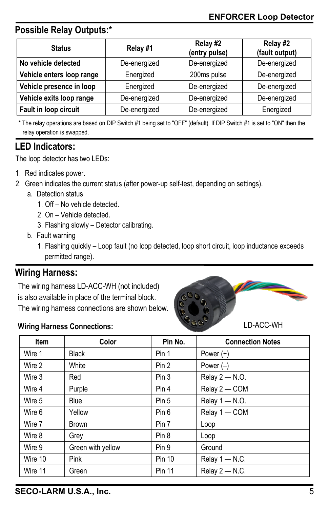# **Possible Relay Outputs:\***

| <b>Status</b>             | Relay #1     | Relay #2<br>(entry pulse) | Relay #2<br>(fault output) |
|---------------------------|--------------|---------------------------|----------------------------|
| No vehicle detected       | De-energized | De-energized              | De-energized               |
| Vehicle enters loop range | Energized    | 200ms pulse               | De-energized               |
| Vehicle presence in loop  | Energized    | De-energized              | De-energized               |
| Vehicle exits loop range  | De-energized | De-energized              | De-energized               |
| Fault in loop circuit     | De-energized | De-energized              | Energized                  |

\* The relay operations are based on DIP Switch #1 being set to "OFF" (default). If DIP Switch #1 is set to "ON" then the relay operation is swapped.

#### **LED Indicators:**

The loop detector has two LEDs:

- 1. Red indicates power.
- 2. Green indicates the current status (after power-up self-test, depending on settings).
	- a. Detection status
		- 1. Off No vehicle detected.
		- 2. On Vehicle detected.
		- 3. Flashing slowly Detector calibrating.
	- b. Fault warning
		- 1. Flashing quickly Loop fault (no loop detected, loop short circuit, loop inductance exceeds permitted range).

#### **Wiring Harness:**

The wiring harness LD-ACC-WH (not included) is also available in place of the terminal block. The wiring harness connections are shown below.

#### **Wiring Harness Connections:**



| Item    | Color             | Pin No.       | <b>Connection Notes</b> |  |
|---------|-------------------|---------------|-------------------------|--|
| Wire 1  | <b>Black</b>      | Pin 1         | Power $(+)$             |  |
| Wire 2  | White             | Pin 2         | Power $(-)$             |  |
| Wire 3  | Red               | Pin 3         | Relay $2 - N.0$ .       |  |
| Wire 4  | Purple            | Pin 4         | Relay 2 - COM           |  |
| Wire 5  | Blue              | Pin 5         | Relay $1 - N.0$ .       |  |
| Wire 6  | Yellow            | Pin 6         | Relay 1 - COM           |  |
| Wire 7  | <b>Brown</b>      | Pin 7         | Loop                    |  |
| Wire 8  | Grey              | Pin 8         | Loop                    |  |
| Wire 9  | Green with yellow | Pin 9         | Ground                  |  |
| Wire 10 | Pink              | <b>Pin 10</b> | Relay 1 - N.C.          |  |
| Wire 11 | Green             | <b>Pin 11</b> | Relay 2 - N.C.          |  |
|         |                   |               |                         |  |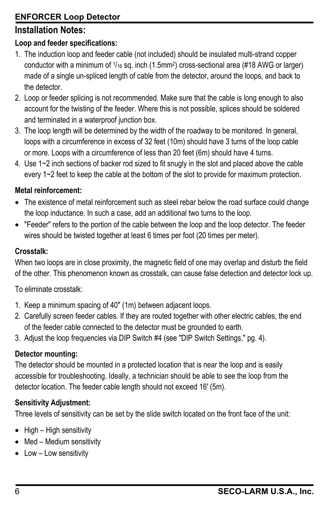# **Installation Notes:**

#### **Loop and feeder specifications:**

- 1. The induction loop and feeder cable (not included) should be insulated multi-strand copper conductor with a minimum of  $1/16$  sq. inch (1.5mm<sup>2</sup>) cross-sectional area (#18 AWG or larger) made of a single un-spliced length of cable from the detector, around the loops, and back to the detector.
- 2. Loop or feeder splicing is not recommended. Make sure that the cable is long enough to also account for the twisting of the feeder. Where this is not possible, splices should be soldered and terminated in a waterproof junction box.
- 3. The loop length will be determined by the width of the roadway to be monitored. In general, loops with a circumference in excess of 32 feet (10m) should have 3 turns of the loop cable or more. Loops with a circumference of less than 20 feet (6m) should have 4 turns.
- 4. Use 1~2 inch sections of backer rod sized to fit snugly in the slot and placed above the cable every 1~2 feet to keep the cable at the bottom of the slot to provide for maximum protection.

#### **Metal reinforcement:**

- The existence of metal reinforcement such as steel rebar below the road surface could change the loop inductance. In such a case, add an additional two turns to the loop.
- "Feeder" refers to the portion of the cable between the loop and the loop detector. The feeder wires should be twisted together at least 6 times per foot (20 times per meter).

#### **Crosstalk:**

When two loops are in close proximity, the magnetic field of one may overlap and disturb the field of the other. This phenomenon known as crosstalk, can cause false detection and detector lock up.

To eliminate crosstalk:

- 1. Keep a minimum spacing of 40" (1m) between adjacent loops.
- 2. Carefully screen feeder cables. If they are routed together with other electric cables, the end of the feeder cable connected to the detector must be grounded to earth.
- 3. Adjust the loop frequencies via DIP Switch #4 (see "DIP Switch Settings," pg. 4).

#### **Detector mounting:**

The detector should be mounted in a protected location that is near the loop and is easily accessible for troubleshooting. Ideally, a technician should be able to see the loop from the detector location. The feeder cable length should not exceed 16' (5m).

#### **Sensitivity Adjustment:**

Three levels of sensitivity can be set by the slide switch located on the front face of the unit:

- $\bullet$  High High sensitivity
- Med Medium sensitivity
- Low Low sensitivity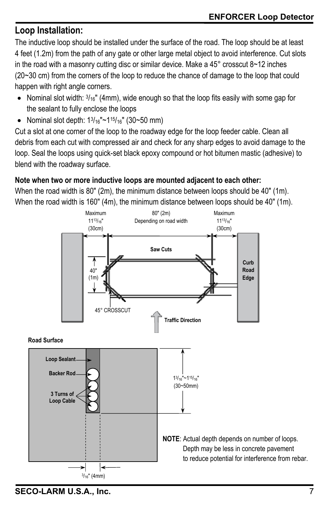# **Loop Installation:**

The inductive loop should be installed under the surface of the road. The loop should be at least 4 feet (1.2m) from the path of any gate or other large metal object to avoid interference. Cut slots in the road with a masonry cutting disc or similar device. Make a  $45^{\circ}$  crosscut  $8-12$  inches (20~30 cm) from the corners of the loop to reduce the chance of damage to the loop that could happen with right angle corners.

- Nominal slot width:  $\frac{3}{16}$ " (4mm), wide enough so that the loop fits easily with some gap for the sealant to fully enclose the loops
- Nominal slot depth:  $1\frac{3}{16}$ "~ $1\frac{15}{16}$ " (30~50 mm)

Cut a slot at one corner of the loop to the roadway edge for the loop feeder cable. Clean all debris from each cut with compressed air and check for any sharp edges to avoid damage to the loop. Seal the loops using quick-set black epoxy compound or hot bitumen mastic (adhesive) to blend with the roadway surface.

#### **Note when two or more inductive loops are mounted adjacent to each other:**

When the road width is 80" (2m), the minimum distance between loops should be 40" (1m). When the road width is 160" (4m), the minimum distance between loops should be 40" (1m).